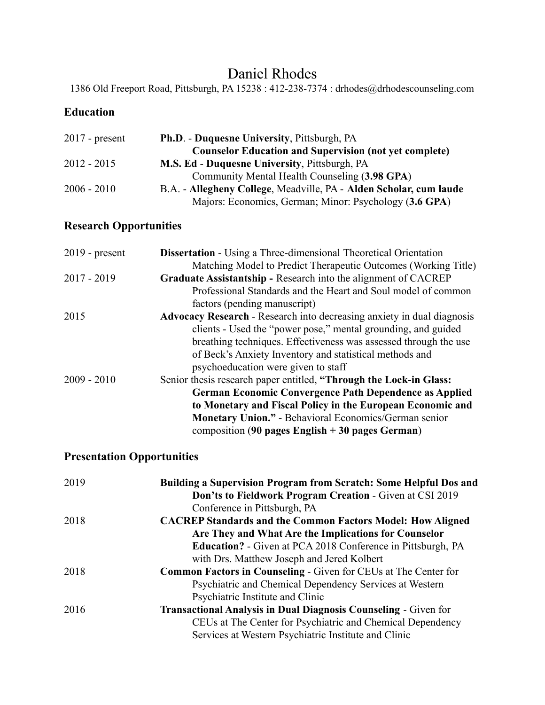# Daniel Rhodes

1386 Old Freeport Road, Pittsburgh, PA 15238 : 412-238-7374 : drhodes@drhodescounseling.com

#### **Education**

| $2017$ - present | <b>Ph.D.</b> - Duquesne University, Pittsburgh, PA                 |  |  |
|------------------|--------------------------------------------------------------------|--|--|
|                  | <b>Counselor Education and Supervision (not yet complete)</b>      |  |  |
| $2012 - 2015$    | <b>M.S. Ed - Duquesne University, Pittsburgh, PA</b>               |  |  |
|                  | Community Mental Health Counseling (3.98 GPA)                      |  |  |
| $2006 - 2010$    | B.A. - Allegheny College, Meadville, PA - Alden Scholar, cum laude |  |  |
|                  | Majors: Economics, German; Minor: Psychology (3.6 GPA)             |  |  |

### **Research Opportunities**

| $2019$ - present | <b>Dissertation</b> - Using a Three-dimensional Theoretical Orientation       |  |  |
|------------------|-------------------------------------------------------------------------------|--|--|
|                  | Matching Model to Predict Therapeutic Outcomes (Working Title)                |  |  |
| $2017 - 2019$    | Graduate Assistantship - Research into the alignment of CACREP                |  |  |
|                  | Professional Standards and the Heart and Soul model of common                 |  |  |
|                  | factors (pending manuscript)                                                  |  |  |
| 2015             | <b>Advocacy Research - Research into decreasing anxiety in dual diagnosis</b> |  |  |
|                  | clients - Used the "power pose," mental grounding, and guided                 |  |  |
|                  | breathing techniques. Effectiveness was assessed through the use              |  |  |
|                  | of Beck's Anxiety Inventory and statistical methods and                       |  |  |
|                  | psychoeducation were given to staff                                           |  |  |
| $2009 - 2010$    | Senior thesis research paper entitled, "Through the Lock-in Glass:            |  |  |
|                  | <b>German Economic Convergence Path Dependence as Applied</b>                 |  |  |
|                  | to Monetary and Fiscal Policy in the European Economic and                    |  |  |
|                  | <b>Monetary Union."</b> - Behavioral Economics/German senior                  |  |  |
|                  | composition (90 pages English $+30$ pages German)                             |  |  |

### **Presentation Opportunities**

| 2019 | <b>Building a Supervision Program from Scratch: Some Helpful Dos and</b> |
|------|--------------------------------------------------------------------------|
|      | Don'ts to Fieldwork Program Creation - Given at CSI 2019                 |
|      | Conference in Pittsburgh, PA                                             |
| 2018 | <b>CACREP Standards and the Common Factors Model: How Aligned</b>        |
|      | Are They and What Are the Implications for Counselor                     |
|      | <b>Education?</b> - Given at PCA 2018 Conference in Pittsburgh, PA       |
|      | with Drs. Matthew Joseph and Jered Kolbert                               |
| 2018 | <b>Common Factors in Counseling - Given for CEUs at The Center for</b>   |
|      | Psychiatric and Chemical Dependency Services at Western                  |
|      | Psychiatric Institute and Clinic                                         |
| 2016 | <b>Transactional Analysis in Dual Diagnosis Counseling - Given for</b>   |
|      | CEUs at The Center for Psychiatric and Chemical Dependency               |
|      | Services at Western Psychiatric Institute and Clinic                     |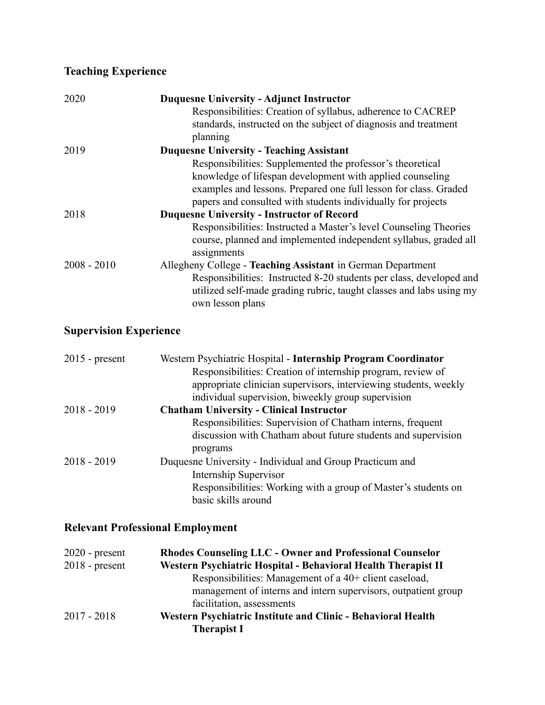## **Teaching Experience**

| 2020          | <b>Duquesne University - Adjunct Instructor</b>                     |
|---------------|---------------------------------------------------------------------|
|               | Responsibilities: Creation of syllabus, adherence to CACREP         |
|               | standards, instructed on the subject of diagnosis and treatment     |
|               | planning                                                            |
| 2019          | <b>Duquesne University - Teaching Assistant</b>                     |
|               | Responsibilities: Supplemented the professor's theoretical          |
|               | knowledge of lifespan development with applied counseling           |
|               | examples and lessons. Prepared one full lesson for class. Graded    |
|               | papers and consulted with students individually for projects        |
| 2018          | <b>Duquesne University - Instructor of Record</b>                   |
|               | Responsibilities: Instructed a Master's level Counseling Theories   |
|               | course, planned and implemented independent syllabus, graded all    |
|               | assignments                                                         |
| $2008 - 2010$ | Allegheny College - Teaching Assistant in German Department         |
|               | Responsibilities: Instructed 8-20 students per class, developed and |
|               | utilized self-made grading rubric, taught classes and labs using my |
|               | own lesson plans                                                    |

## **Supervision Experience**

| $2015$ - present | Western Psychiatric Hospital - Internship Program Coordinator    |  |
|------------------|------------------------------------------------------------------|--|
|                  | Responsibilities: Creation of internship program, review of      |  |
|                  | appropriate clinician supervisors, interviewing students, weekly |  |
|                  | individual supervision, biweekly group supervision               |  |
| $2018 - 2019$    | <b>Chatham University - Clinical Instructor</b>                  |  |
|                  | Responsibilities: Supervision of Chatham interns, frequent       |  |
|                  | discussion with Chatham about future students and supervision    |  |
|                  | programs                                                         |  |
| $2018 - 2019$    | Duquesne University - Individual and Group Practicum and         |  |
|                  | Internship Supervisor                                            |  |
|                  | Responsibilities: Working with a group of Master's students on   |  |
|                  | basic skills around                                              |  |

### **Relevant Professional Employment**

| $2020$ - present | <b>Rhodes Counseling LLC - Owner and Professional Counselor</b> |  |  |
|------------------|-----------------------------------------------------------------|--|--|
| $2018$ - present | Western Psychiatric Hospital - Behavioral Health Therapist II   |  |  |
|                  | Responsibilities: Management of a 40+ client caseload,          |  |  |
|                  | management of interns and intern supervisors, outpatient group  |  |  |
|                  | facilitation, assessments                                       |  |  |
| $2017 - 2018$    | Western Psychiatric Institute and Clinic - Behavioral Health    |  |  |
|                  | <b>Therapist I</b>                                              |  |  |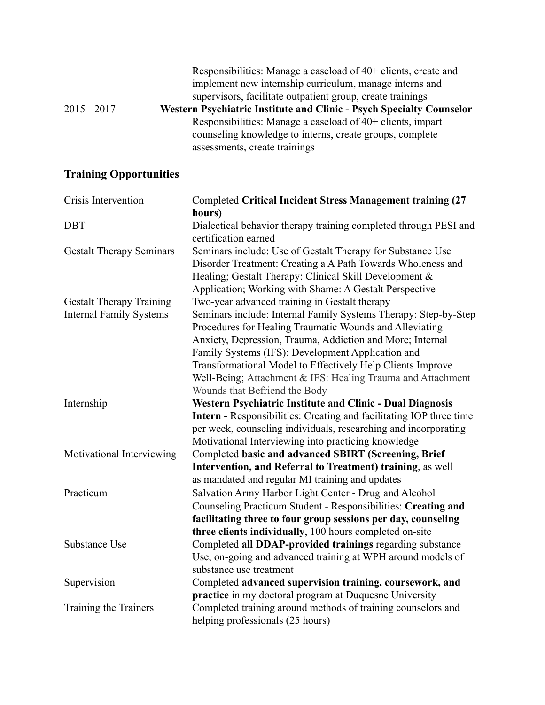| $2015 - 2017$ | Responsibilities: Manage a caseload of 40+ clients, create and<br>implement new internship curriculum, manage interns and<br>supervisors, facilitate outpatient group, create trainings<br>Western Psychiatric Institute and Clinic - Psych Specialty Counselor |
|---------------|-----------------------------------------------------------------------------------------------------------------------------------------------------------------------------------------------------------------------------------------------------------------|
|               | Responsibilities: Manage a caseload of 40+ clients, impart                                                                                                                                                                                                      |
|               | counseling knowledge to interns, create groups, complete                                                                                                                                                                                                        |
|               | assessments, create trainings                                                                                                                                                                                                                                   |

# **Training Opportunities**

| Crisis Intervention             | <b>Completed Critical Incident Stress Management training (27</b>                        |  |  |
|---------------------------------|------------------------------------------------------------------------------------------|--|--|
|                                 | hours)                                                                                   |  |  |
| <b>DBT</b>                      | Dialectical behavior therapy training completed through PESI and<br>certification earned |  |  |
| <b>Gestalt Therapy Seminars</b> | Seminars include: Use of Gestalt Therapy for Substance Use                               |  |  |
|                                 | Disorder Treatment: Creating a A Path Towards Wholeness and                              |  |  |
|                                 | Healing; Gestalt Therapy: Clinical Skill Development &                                   |  |  |
|                                 | Application; Working with Shame: A Gestalt Perspective                                   |  |  |
| <b>Gestalt Therapy Training</b> | Two-year advanced training in Gestalt therapy                                            |  |  |
| <b>Internal Family Systems</b>  | Seminars include: Internal Family Systems Therapy: Step-by-Step                          |  |  |
|                                 | Procedures for Healing Traumatic Wounds and Alleviating                                  |  |  |
|                                 | Anxiety, Depression, Trauma, Addiction and More; Internal                                |  |  |
|                                 | Family Systems (IFS): Development Application and                                        |  |  |
|                                 | Transformational Model to Effectively Help Clients Improve                               |  |  |
|                                 | Well-Being; Attachment & IFS: Healing Trauma and Attachment                              |  |  |
|                                 | Wounds that Befriend the Body                                                            |  |  |
| Internship                      | Western Psychiatric Institute and Clinic - Dual Diagnosis                                |  |  |
|                                 | Intern - Responsibilities: Creating and facilitating IOP three time                      |  |  |
|                                 | per week, counseling individuals, researching and incorporating                          |  |  |
|                                 | Motivational Interviewing into practicing knowledge                                      |  |  |
| Motivational Interviewing       | Completed basic and advanced SBIRT (Screening, Brief                                     |  |  |
|                                 | Intervention, and Referral to Treatment) training, as well                               |  |  |
|                                 | as mandated and regular MI training and updates                                          |  |  |
| Practicum                       | Salvation Army Harbor Light Center - Drug and Alcohol                                    |  |  |
|                                 | Counseling Practicum Student - Responsibilities: Creating and                            |  |  |
|                                 | facilitating three to four group sessions per day, counseling                            |  |  |
|                                 | three clients individually, 100 hours completed on-site                                  |  |  |
| <b>Substance Use</b>            | Completed all DDAP-provided trainings regarding substance                                |  |  |
|                                 | Use, on-going and advanced training at WPH around models of                              |  |  |
|                                 | substance use treatment                                                                  |  |  |
| Supervision                     | Completed advanced supervision training, coursework, and                                 |  |  |
|                                 | practice in my doctoral program at Duquesne University                                   |  |  |
| Training the Trainers           | Completed training around methods of training counselors and                             |  |  |
|                                 | helping professionals (25 hours)                                                         |  |  |